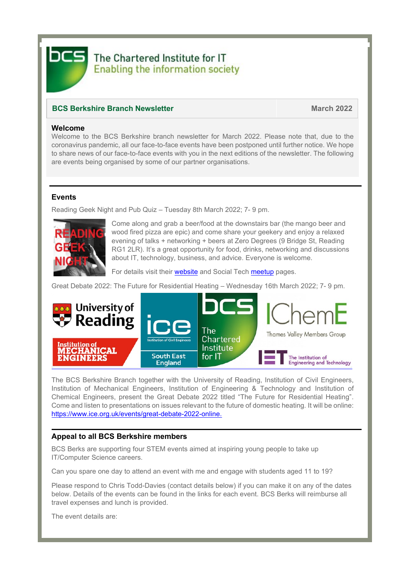

# The Chartered Institute for IT **Enabling the information society**

## **BCS Berkshire Branch Newsletter March 2022**

#### **Welcome**

Welcome to the BCS Berkshire branch newsletter for March 2022. Please note that, due to the coronavirus pandemic, all our face-to-face events have been postponed until further notice. We hope to share news of our face-to-face events with you in the next editions of the newsletter. The following are events being organised by some of our partner organisations.

#### **Events**

Reading Geek Night and Pub Quiz – Tuesday 8th March 2022; 7- 9 pm.



Come along and grab a beer/food at the downstairs bar (the mango beer and wood fired pizza are epic) and come share your geekery and enjoy a relaxed evening of talks + networking + beers at Zero Degrees (9 Bridge St, Reading RG1 2LR). It's a great opportunity for food, drinks, networking and discussions about IT, technology, business, and advice. Everyone is welcome.

For details visit their [website](https://rdggeeknight.wordpress.com/) and [Social Tech meetup](https://www.meetup.com/socialtechgroup/) pages.

Great Debate 2022: The Future for Residential Heating – Wednesday 16th March 2022; 7- 9 pm.



The BCS Berkshire Branch together with the University of Reading, Institution of Civil Engineers, Institution of Mechanical Engineers, Institution of Engineering & Technology and Institution of Chemical Engineers, present the Great Debate 2022 titled "The Future for Residential Heating". Come and listen to presentations on issues relevant to the future of domestic heating. It will be online: [https://www.ice.org.uk/events/great-debate-2022-online.](https://www.ice.org.uk/events/great-debate-2022-online)

## **Appeal to all BCS Berkshire members**

BCS Berks are supporting four STEM events aimed at inspiring young people to take up IT/Computer Science careers.

Can you spare one day to attend an event with me and engage with students aged 11 to 19?

Please respond to Chris Todd-Davies (contact details below) if you can make it on any of the dates below. Details of the events can be found in the links for each event. BCS Berks will reimburse all travel expenses and lunch is provided.

The event details are: